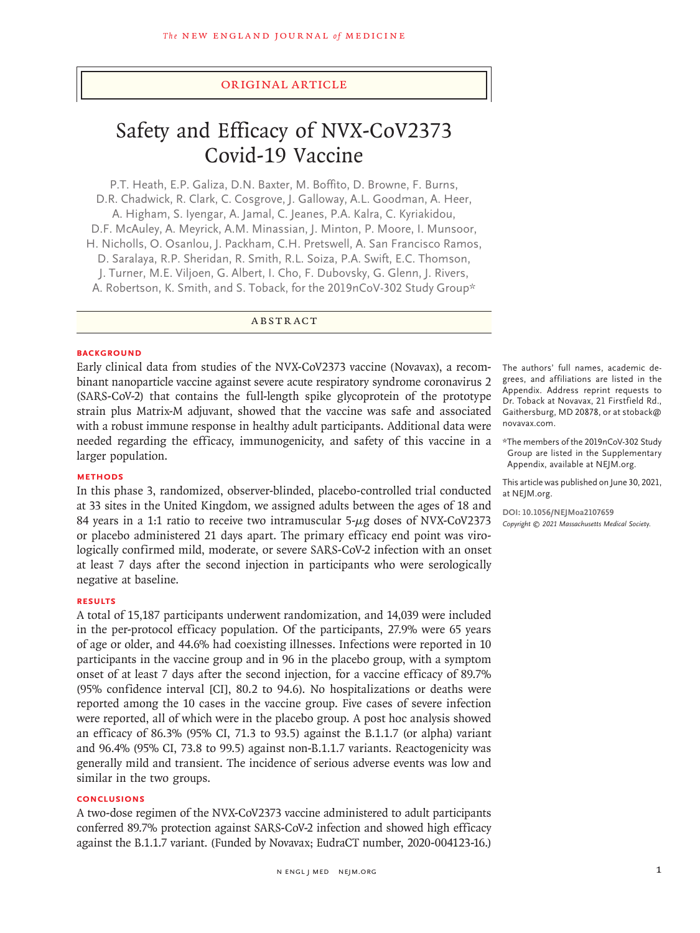# Original Article

# Safety and Efficacy of NVX-CoV2373 Covid-19 Vaccine

P.T. Heath, E.P. Galiza, D.N. Baxter, M. Boffito, D. Browne, F. Burns, D.R. Chadwick, R. Clark, C. Cosgrove, J. Galloway, A.L. Goodman, A. Heer, A. Higham, S. Iyengar, A. Jamal, C. Jeanes, P.A. Kalra, C. Kyriakidou, D.F. McAuley, A. Meyrick, A.M. Minassian, J. Minton, P. Moore, I. Munsoor, H. Nicholls, O. Osanlou, J. Packham, C.H. Pretswell, A. San Francisco Ramos, D. Saralaya, R.P. Sheridan, R. Smith, R.L. Soiza, P.A. Swift, E.C. Thomson, J. Turner, M.E. Viljoen, G. Albert, I. Cho, F. Dubovsky, G. Glenn, J. Rivers, A. Robertson, K. Smith, and S. Toback, for the 2019nCoV-302 Study Group\*

ABSTRACT

#### **BACKGROUND**

Early clinical data from studies of the NVX-CoV2373 vaccine (Novavax), a recombinant nanoparticle vaccine against severe acute respiratory syndrome coronavirus 2 (SARS-CoV-2) that contains the full-length spike glycoprotein of the prototype strain plus Matrix-M adjuvant, showed that the vaccine was safe and associated with a robust immune response in healthy adult participants. Additional data were needed regarding the efficacy, immunogenicity, and safety of this vaccine in a larger population.

# **METHODS**

In this phase 3, randomized, observer-blinded, placebo-controlled trial conducted at 33 sites in the United Kingdom, we assigned adults between the ages of 18 and 84 years in a 1:1 ratio to receive two intramuscular  $5-\mu g$  doses of NVX-CoV2373 or placebo administered 21 days apart. The primary efficacy end point was virologically confirmed mild, moderate, or severe SARS-CoV-2 infection with an onset at least 7 days after the second injection in participants who were serologically negative at baseline.

# **RESULTS**

A total of 15,187 participants underwent randomization, and 14,039 were included in the per-protocol efficacy population. Of the participants, 27.9% were 65 years of age or older, and 44.6% had coexisting illnesses. Infections were reported in 10 participants in the vaccine group and in 96 in the placebo group, with a symptom onset of at least 7 days after the second injection, for a vaccine efficacy of 89.7% (95% confidence interval [CI], 80.2 to 94.6). No hospitalizations or deaths were reported among the 10 cases in the vaccine group. Five cases of severe infection were reported, all of which were in the placebo group. A post hoc analysis showed an efficacy of 86.3% (95% CI, 71.3 to 93.5) against the B.1.1.7 (or alpha) variant and 96.4% (95% CI, 73.8 to 99.5) against non-B.1.1.7 variants. Reactogenicity was generally mild and transient. The incidence of serious adverse events was low and similar in the two groups.

## **CONCLUSIONS**

A two-dose regimen of the NVX-CoV2373 vaccine administered to adult participants conferred 89.7% protection against SARS-CoV-2 infection and showed high efficacy against the B.1.1.7 variant. (Funded by Novavax; EudraCT number, 2020-004123-16.)

The authors' full names, academic degrees, and affiliations are listed in the Appendix. Address reprint requests to Dr. Toback at Novavax, 21 Firstfield Rd., Gaithersburg, MD 20878, or at stoback@ novavax.com.

\*The members of the 2019nCoV-302 Study Group are listed in the Supplementary Appendix, available at NEJM.org.

This article was published on June 30, 2021, at NEJM.org.

**DOI: 10.1056/NEJMoa2107659** *Copyright © 2021 Massachusetts Medical Society.*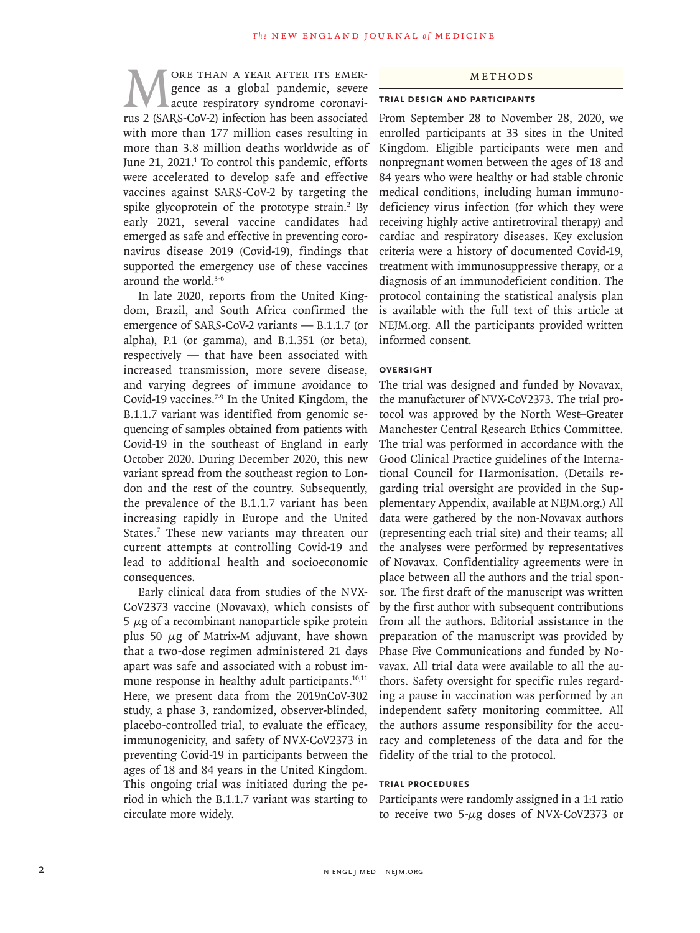WORE THAN A YEAR AFTER ITS EMER-<br>gence as a global pandemic, severe<br>acute respiratory syndrome coronavi-<br>rus 2 (SARS-CoV-2) infection has been associated gence as a global pandemic, severe acute respiratory syndrome coronavirus 2 (SARS-CoV-2) infection has been associated with more than 177 million cases resulting in more than 3.8 million deaths worldwide as of June 21, 2021.<sup>1</sup> To control this pandemic, efforts were accelerated to develop safe and effective vaccines against SARS-CoV-2 by targeting the spike glycoprotein of the prototype strain.<sup>2</sup> By early 2021, several vaccine candidates had emerged as safe and effective in preventing coronavirus disease 2019 (Covid-19), findings that supported the emergency use of these vaccines around the world.3-6

In late 2020, reports from the United Kingdom, Brazil, and South Africa confirmed the emergence of SARS-CoV-2 variants — B.1.1.7 (or alpha), P.1 (or gamma), and B.1.351 (or beta), respectively — that have been associated with increased transmission, more severe disease, and varying degrees of immune avoidance to Covid-19 vaccines.<sup>7-9</sup> In the United Kingdom, the B.1.1.7 variant was identified from genomic sequencing of samples obtained from patients with Covid-19 in the southeast of England in early October 2020. During December 2020, this new variant spread from the southeast region to London and the rest of the country. Subsequently, the prevalence of the B.1.1.7 variant has been increasing rapidly in Europe and the United States.7 These new variants may threaten our current attempts at controlling Covid-19 and lead to additional health and socioeconomic consequences.

Early clinical data from studies of the NVX-CoV2373 vaccine (Novavax), which consists of 5  $\mu$ g of a recombinant nanoparticle spike protein plus 50  $\mu$ g of Matrix-M adjuvant, have shown that a two-dose regimen administered 21 days apart was safe and associated with a robust immune response in healthy adult participants. $10,11$ Here, we present data from the 2019nCoV-302 study, a phase 3, randomized, observer-blinded, placebo-controlled trial, to evaluate the efficacy, immunogenicity, and safety of NVX-CoV2373 in preventing Covid-19 in participants between the ages of 18 and 84 years in the United Kingdom. This ongoing trial was initiated during the period in which the B.1.1.7 variant was starting to circulate more widely.

#### Methods

#### **Trial Design and Participants**

From September 28 to November 28, 2020, we enrolled participants at 33 sites in the United Kingdom. Eligible participants were men and nonpregnant women between the ages of 18 and 84 years who were healthy or had stable chronic medical conditions, including human immunodeficiency virus infection (for which they were receiving highly active antiretroviral therapy) and cardiac and respiratory diseases. Key exclusion criteria were a history of documented Covid-19, treatment with immunosuppressive therapy, or a diagnosis of an immunodeficient condition. The protocol containing the statistical analysis plan is available with the full text of this article at NEJM.org. All the participants provided written informed consent.

#### **Oversight**

The trial was designed and funded by Novavax, the manufacturer of NVX-CoV2373. The trial protocol was approved by the North West–Greater Manchester Central Research Ethics Committee. The trial was performed in accordance with the Good Clinical Practice guidelines of the International Council for Harmonisation. (Details regarding trial oversight are provided in the Supplementary Appendix, available at NEJM.org.) All data were gathered by the non-Novavax authors (representing each trial site) and their teams; all the analyses were performed by representatives of Novavax. Confidentiality agreements were in place between all the authors and the trial sponsor. The first draft of the manuscript was written by the first author with subsequent contributions from all the authors. Editorial assistance in the preparation of the manuscript was provided by Phase Five Communications and funded by Novavax. All trial data were available to all the authors. Safety oversight for specific rules regarding a pause in vaccination was performed by an independent safety monitoring committee. All the authors assume responsibility for the accuracy and completeness of the data and for the fidelity of the trial to the protocol.

#### **Trial Procedures**

Participants were randomly assigned in a 1:1 ratio to receive two 5-μg doses of NVX-CoV2373 or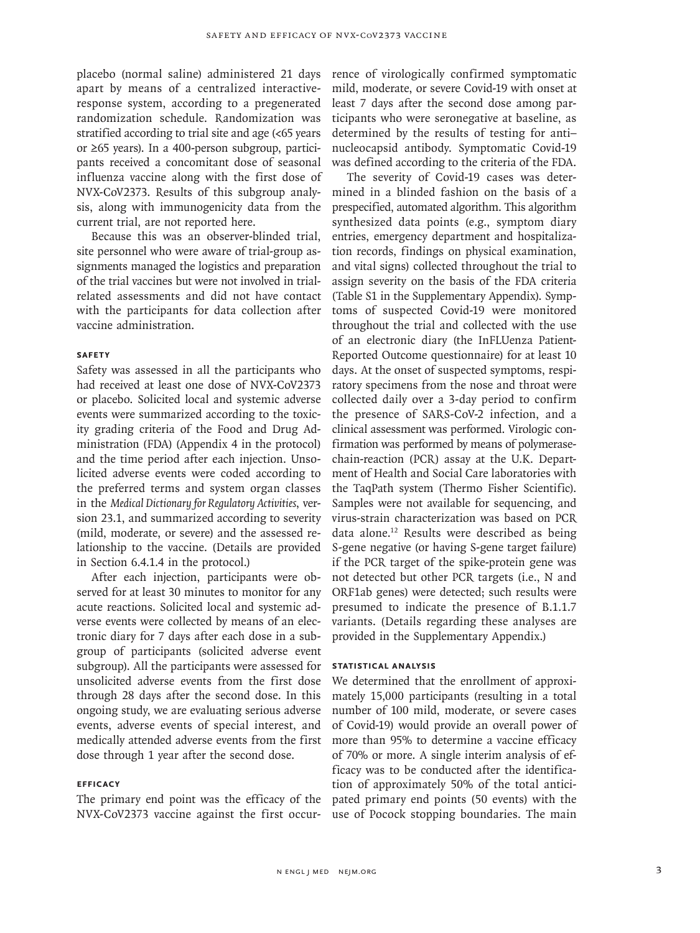placebo (normal saline) administered 21 days apart by means of a centralized interactiveresponse system, according to a pregenerated randomization schedule. Randomization was stratified according to trial site and age (<65 years or ≥65 years). In a 400-person subgroup, participants received a concomitant dose of seasonal influenza vaccine along with the first dose of NVX-CoV2373. Results of this subgroup analysis, along with immunogenicity data from the current trial, are not reported here.

Because this was an observer-blinded trial, site personnel who were aware of trial-group assignments managed the logistics and preparation of the trial vaccines but were not involved in trialrelated assessments and did not have contact with the participants for data collection after vaccine administration.

## **Safety**

Safety was assessed in all the participants who had received at least one dose of NVX-CoV2373 or placebo. Solicited local and systemic adverse events were summarized according to the toxicity grading criteria of the Food and Drug Administration (FDA) (Appendix 4 in the protocol) and the time period after each injection. Unsolicited adverse events were coded according to the preferred terms and system organ classes in the *Medical Dictionary for Regulatory Activities*, version 23.1, and summarized according to severity (mild, moderate, or severe) and the assessed relationship to the vaccine. (Details are provided in Section 6.4.1.4 in the protocol.)

After each injection, participants were observed for at least 30 minutes to monitor for any acute reactions. Solicited local and systemic adverse events were collected by means of an electronic diary for 7 days after each dose in a subgroup of participants (solicited adverse event subgroup). All the participants were assessed for unsolicited adverse events from the first dose through 28 days after the second dose. In this ongoing study, we are evaluating serious adverse events, adverse events of special interest, and medically attended adverse events from the first dose through 1 year after the second dose.

# **Efficacy**

The primary end point was the efficacy of the NVX-CoV2373 vaccine against the first occur-

rence of virologically confirmed symptomatic mild, moderate, or severe Covid-19 with onset at least 7 days after the second dose among participants who were seronegative at baseline, as determined by the results of testing for anti– nucleocapsid antibody. Symptomatic Covid-19 was defined according to the criteria of the FDA.

The severity of Covid-19 cases was determined in a blinded fashion on the basis of a prespecified, automated algorithm. This algorithm synthesized data points (e.g., symptom diary entries, emergency department and hospitalization records, findings on physical examination, and vital signs) collected throughout the trial to assign severity on the basis of the FDA criteria (Table S1 in the Supplementary Appendix). Symptoms of suspected Covid-19 were monitored throughout the trial and collected with the use of an electronic diary (the InFLUenza Patient-Reported Outcome questionnaire) for at least 10 days. At the onset of suspected symptoms, respiratory specimens from the nose and throat were collected daily over a 3-day period to confirm the presence of SARS-CoV-2 infection, and a clinical assessment was performed. Virologic confirmation was performed by means of polymerasechain-reaction (PCR) assay at the U.K. Department of Health and Social Care laboratories with the TaqPath system (Thermo Fisher Scientific). Samples were not available for sequencing, and virus-strain characterization was based on PCR data alone.12 Results were described as being S-gene negative (or having S-gene target failure) if the PCR target of the spike-protein gene was not detected but other PCR targets (i.e., N and ORF1ab genes) were detected; such results were presumed to indicate the presence of B.1.1.7 variants. (Details regarding these analyses are provided in the Supplementary Appendix.)

# **Statistical Analysis**

We determined that the enrollment of approximately 15,000 participants (resulting in a total number of 100 mild, moderate, or severe cases of Covid-19) would provide an overall power of more than 95% to determine a vaccine efficacy of 70% or more. A single interim analysis of efficacy was to be conducted after the identification of approximately 50% of the total anticipated primary end points (50 events) with the use of Pocock stopping boundaries. The main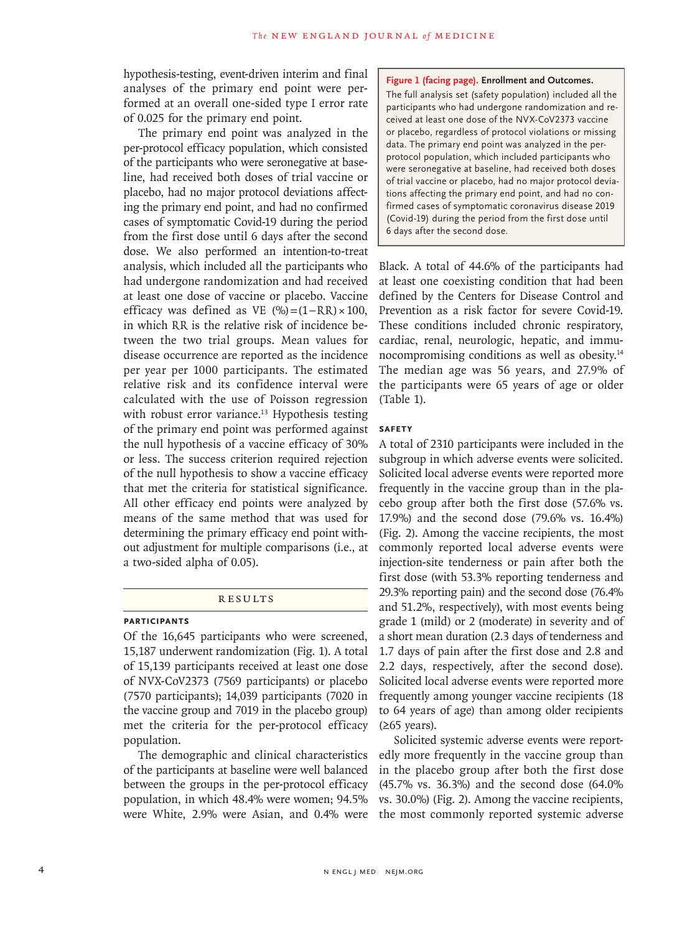hypothesis-testing, event-driven interim and final analyses of the primary end point were performed at an overall one-sided type I error rate of 0.025 for the primary end point.

The primary end point was analyzed in the per-protocol efficacy population, which consisted of the participants who were seronegative at baseline, had received both doses of trial vaccine or placebo, had no major protocol deviations affecting the primary end point, and had no confirmed cases of symptomatic Covid-19 during the period from the first dose until 6 days after the second dose. We also performed an intention-to-treat analysis, which included all the participants who had undergone randomization and had received at least one dose of vaccine or placebo. Vaccine efficacy was defined as VE  $(\%)=(1-RR)\times100$ , in which RR is the relative risk of incidence between the two trial groups. Mean values for disease occurrence are reported as the incidence per year per 1000 participants. The estimated relative risk and its confidence interval were calculated with the use of Poisson regression with robust error variance.<sup>13</sup> Hypothesis testing of the primary end point was performed against the null hypothesis of a vaccine efficacy of 30% or less. The success criterion required rejection of the null hypothesis to show a vaccine efficacy that met the criteria for statistical significance. All other efficacy end points were analyzed by means of the same method that was used for determining the primary efficacy end point without adjustment for multiple comparisons (i.e., at a two-sided alpha of 0.05).

#### **RESULTS**

# **Participants**

Of the 16,645 participants who were screened, 15,187 underwent randomization (Fig. 1). A total of 15,139 participants received at least one dose of NVX-CoV2373 (7569 participants) or placebo (7570 participants); 14,039 participants (7020 in the vaccine group and 7019 in the placebo group) met the criteria for the per-protocol efficacy population.

The demographic and clinical characteristics of the participants at baseline were well balanced between the groups in the per-protocol efficacy population, in which 48.4% were women; 94.5% were White, 2.9% were Asian, and 0.4% were **Figure 1 (facing page). Enrollment and Outcomes.** The full analysis set (safety population) included all the participants who had undergone randomization and received at least one dose of the NVX-CoV2373 vaccine or placebo, regardless of protocol violations or missing data. The primary end point was analyzed in the perprotocol population, which included participants who were seronegative at baseline, had received both doses of trial vaccine or placebo, had no major protocol deviations affecting the primary end point, and had no confirmed cases of symptomatic coronavirus disease 2019 (Covid-19) during the period from the first dose until 6 days after the second dose.

Black. A total of 44.6% of the participants had at least one coexisting condition that had been defined by the Centers for Disease Control and Prevention as a risk factor for severe Covid-19. These conditions included chronic respiratory, cardiac, renal, neurologic, hepatic, and immunocompromising conditions as well as obesity.14 The median age was 56 years, and 27.9% of the participants were 65 years of age or older (Table 1).

#### **Safety**

A total of 2310 participants were included in the subgroup in which adverse events were solicited. Solicited local adverse events were reported more frequently in the vaccine group than in the placebo group after both the first dose (57.6% vs. 17.9%) and the second dose (79.6% vs. 16.4%) (Fig. 2). Among the vaccine recipients, the most commonly reported local adverse events were injection-site tenderness or pain after both the first dose (with 53.3% reporting tenderness and 29.3% reporting pain) and the second dose (76.4% and 51.2%, respectively), with most events being grade 1 (mild) or 2 (moderate) in severity and of a short mean duration (2.3 days of tenderness and 1.7 days of pain after the first dose and 2.8 and 2.2 days, respectively, after the second dose). Solicited local adverse events were reported more frequently among younger vaccine recipients (18 to 64 years of age) than among older recipients (≥65 years).

Solicited systemic adverse events were reportedly more frequently in the vaccine group than in the placebo group after both the first dose (45.7% vs. 36.3%) and the second dose (64.0% vs. 30.0%) (Fig. 2). Among the vaccine recipients, the most commonly reported systemic adverse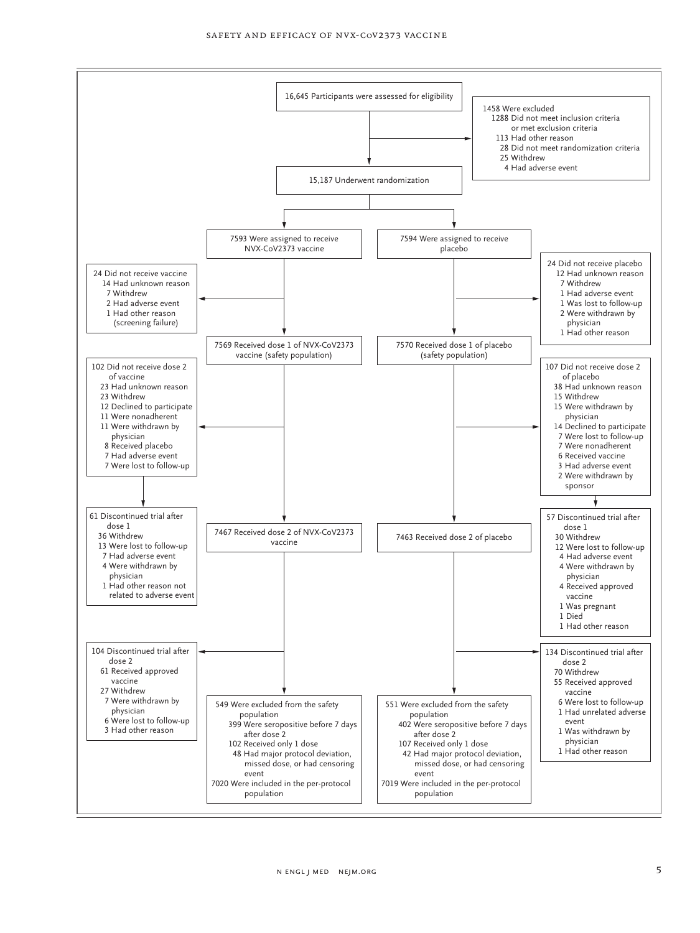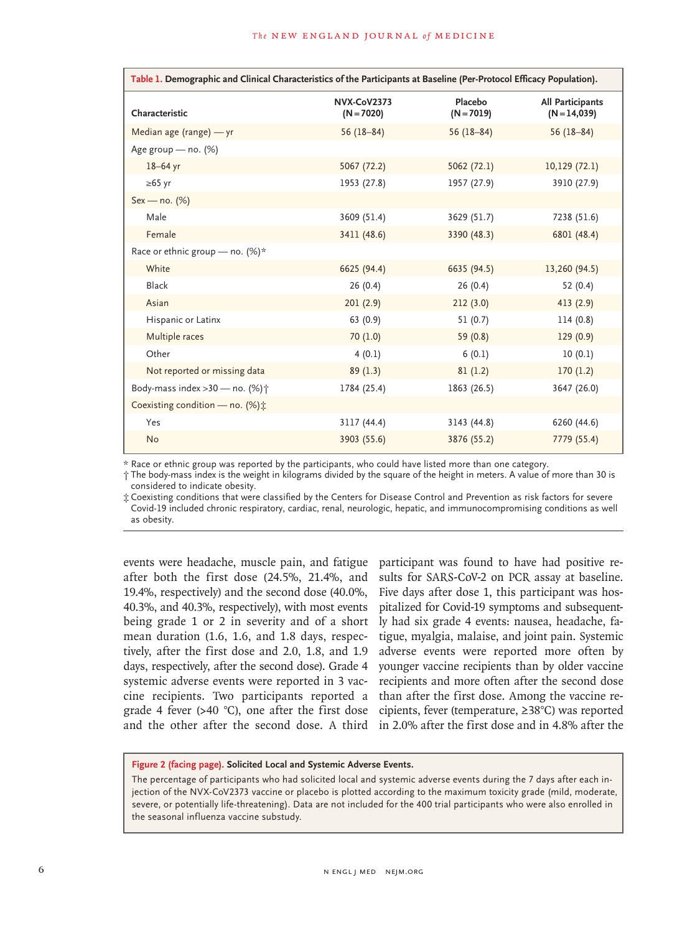| Table 1. Demographic and Clinical Characteristics of the Participants at Baseline (Per-Protocol Efficacy Population). |                                    |                         |                                    |
|-----------------------------------------------------------------------------------------------------------------------|------------------------------------|-------------------------|------------------------------------|
| Characteristic                                                                                                        | <b>NVX-CoV2373</b><br>$(N = 7020)$ | Placebo<br>$(N = 7019)$ | All Participants<br>$(N = 14,039)$ |
| Median age (range) - yr                                                                                               | $56(18-84)$                        | $56(18-84)$             | $56(18-84)$                        |
| Age group - no. (%)                                                                                                   |                                    |                         |                                    |
| 18-64 yr                                                                                                              | 5067 (72.2)                        | 5062(72.1)              | 10,129(72.1)                       |
| $\geq 65$ yr                                                                                                          | 1953 (27.8)                        | 1957 (27.9)             | 3910 (27.9)                        |
| Sex - no. (%)                                                                                                         |                                    |                         |                                    |
| Male                                                                                                                  | 3609 (51.4)                        | 3629 (51.7)             | 7238 (51.6)                        |
| Female                                                                                                                | 3411 (48.6)                        | 3390 (48.3)             | 6801 (48.4)                        |
| Race or ethnic group – no. $(\%)^*$                                                                                   |                                    |                         |                                    |
| White                                                                                                                 | 6625 (94.4)                        | 6635 (94.5)             | 13,260 (94.5)                      |
| Black                                                                                                                 | 26(0.4)                            | 26(0.4)                 | 52(0.4)                            |
| Asian                                                                                                                 | 201(2.9)                           | 212(3.0)                | 413 (2.9)                          |
| Hispanic or Latinx                                                                                                    | 63 (0.9)                           | 51(0.7)                 | 114(0.8)                           |
| Multiple races                                                                                                        | 70(1.0)                            | 59 (0.8)                | 129(0.9)                           |
| Other                                                                                                                 | 4(0.1)                             | 6(0.1)                  | 10(0.1)                            |
| Not reported or missing data                                                                                          | 89(1.3)                            | 81(1.2)                 | 170(1.2)                           |
| Body-mass index >30 - no. (%) +                                                                                       | 1784 (25.4)                        | 1863 (26.5)             | 3647 (26.0)                        |
| Coexisting condition - no. (%):                                                                                       |                                    |                         |                                    |
| Yes                                                                                                                   | 3117 (44.4)                        | 3143 (44.8)             | 6260 (44.6)                        |
| <b>No</b>                                                                                                             | 3903 (55.6)                        | 3876 (55.2)             | 7779 (55.4)                        |

\* Race or ethnic group was reported by the participants, who could have listed more than one category.

† The body-mass index is the weight in kilograms divided by the square of the height in meters. A value of more than 30 is considered to indicate obesity.

‡ Coexisting conditions that were classified by the Centers for Disease Control and Prevention as risk factors for severe Covid-19 included chronic respiratory, cardiac, renal, neurologic, hepatic, and immunocompromising conditions as well as obesity.

events were headache, muscle pain, and fatigue after both the first dose (24.5%, 21.4%, and 19.4%, respectively) and the second dose (40.0%, 40.3%, and 40.3%, respectively), with most events being grade 1 or 2 in severity and of a short mean duration (1.6, 1.6, and 1.8 days, respectively, after the first dose and 2.0, 1.8, and 1.9 days, respectively, after the second dose). Grade 4 systemic adverse events were reported in 3 vaccine recipients. Two participants reported a grade 4 fever (>40 °C), one after the first dose cipients, fever (temperature, ≥38°C) was reported

and the other after the second dose. A third in 2.0% after the first dose and in 4.8% after the participant was found to have had positive results for SARS-CoV-2 on PCR assay at baseline. Five days after dose 1, this participant was hospitalized for Covid-19 symptoms and subsequently had six grade 4 events: nausea, headache, fatigue, myalgia, malaise, and joint pain. Systemic adverse events were reported more often by younger vaccine recipients than by older vaccine recipients and more often after the second dose than after the first dose. Among the vaccine re-

## **Figure 2 (facing page). Solicited Local and Systemic Adverse Events.**

The percentage of participants who had solicited local and systemic adverse events during the 7 days after each injection of the NVX-CoV2373 vaccine or placebo is plotted according to the maximum toxicity grade (mild, moderate, severe, or potentially life-threatening). Data are not included for the 400 trial participants who were also enrolled in the seasonal influenza vaccine substudy.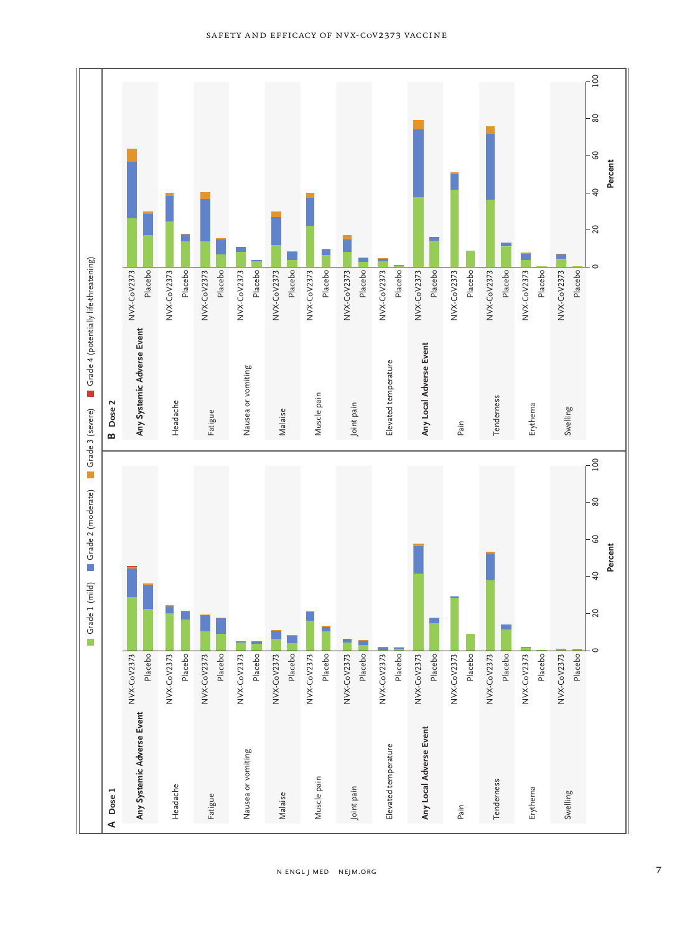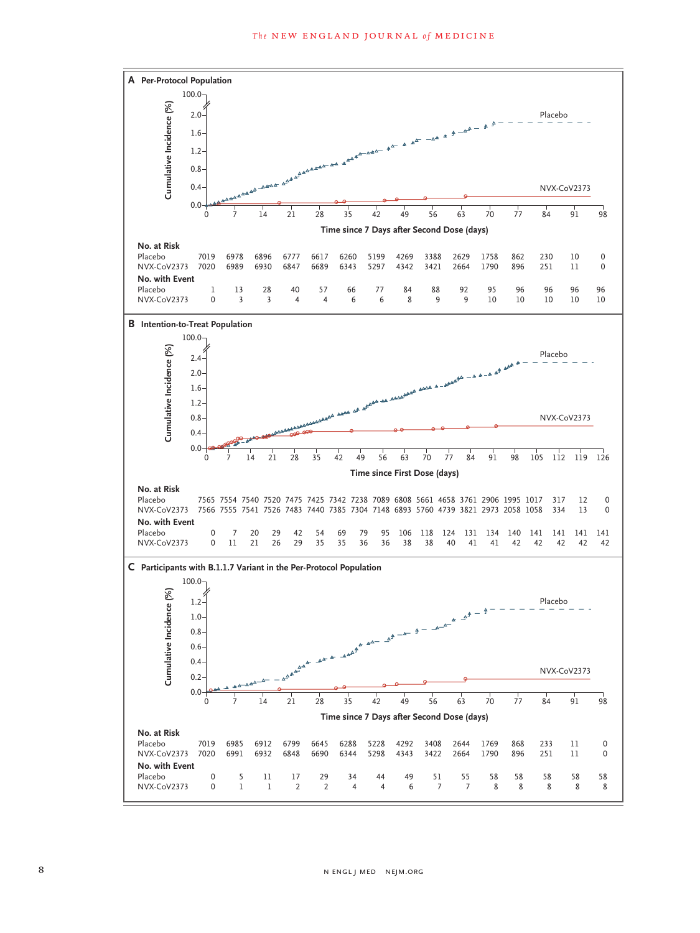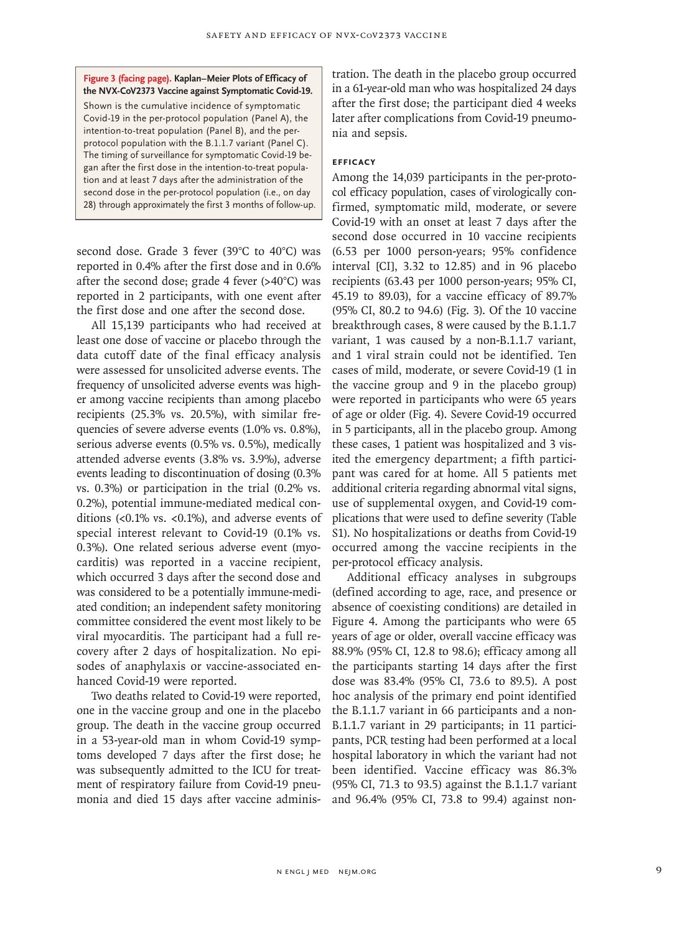**Figure 3 (facing page). Kaplan–Meier Plots of Efficacy of the NVX-CoV2373 Vaccine against Symptomatic Covid-19.**

Shown is the cumulative incidence of symptomatic Covid-19 in the per-protocol population (Panel A), the intention-to-treat population (Panel B), and the perprotocol population with the B.1.1.7 variant (Panel C). The timing of surveillance for symptomatic Covid-19 began after the first dose in the intention-to-treat population and at least 7 days after the administration of the second dose in the per-protocol population (i.e., on day 28) through approximately the first 3 months of follow-up.

second dose. Grade 3 fever (39°C to 40°C) was reported in 0.4% after the first dose and in 0.6% after the second dose; grade 4 fever (>40°C) was reported in 2 participants, with one event after the first dose and one after the second dose.

All 15,139 participants who had received at least one dose of vaccine or placebo through the data cutoff date of the final efficacy analysis were assessed for unsolicited adverse events. The frequency of unsolicited adverse events was higher among vaccine recipients than among placebo recipients (25.3% vs. 20.5%), with similar frequencies of severe adverse events (1.0% vs. 0.8%), serious adverse events (0.5% vs. 0.5%), medically attended adverse events (3.8% vs. 3.9%), adverse events leading to discontinuation of dosing (0.3% vs. 0.3%) or participation in the trial (0.2% vs. 0.2%), potential immune-mediated medical conditions (<0.1% vs. <0.1%), and adverse events of special interest relevant to Covid-19 (0.1% vs. 0.3%). One related serious adverse event (myocarditis) was reported in a vaccine recipient, which occurred 3 days after the second dose and was considered to be a potentially immune-mediated condition; an independent safety monitoring committee considered the event most likely to be viral myocarditis. The participant had a full recovery after 2 days of hospitalization. No episodes of anaphylaxis or vaccine-associated enhanced Covid-19 were reported.

Two deaths related to Covid-19 were reported, one in the vaccine group and one in the placebo group. The death in the vaccine group occurred in a 53-year-old man in whom Covid-19 symptoms developed 7 days after the first dose; he was subsequently admitted to the ICU for treatment of respiratory failure from Covid-19 pneumonia and died 15 days after vaccine administration. The death in the placebo group occurred in a 61-year-old man who was hospitalized 24 days after the first dose; the participant died 4 weeks later after complications from Covid-19 pneumonia and sepsis.

# **Efficacy**

Among the 14,039 participants in the per-protocol efficacy population, cases of virologically confirmed, symptomatic mild, moderate, or severe Covid-19 with an onset at least 7 days after the second dose occurred in 10 vaccine recipients (6.53 per 1000 person-years; 95% confidence interval [CI], 3.32 to 12.85) and in 96 placebo recipients (63.43 per 1000 person-years; 95% CI, 45.19 to 89.03), for a vaccine efficacy of 89.7% (95% CI, 80.2 to 94.6) (Fig. 3). Of the 10 vaccine breakthrough cases, 8 were caused by the B.1.1.7 variant, 1 was caused by a non-B.1.1.7 variant, and 1 viral strain could not be identified. Ten cases of mild, moderate, or severe Covid-19 (1 in the vaccine group and 9 in the placebo group) were reported in participants who were 65 years of age or older (Fig. 4). Severe Covid-19 occurred in 5 participants, all in the placebo group. Among these cases, 1 patient was hospitalized and 3 visited the emergency department; a fifth participant was cared for at home. All 5 patients met additional criteria regarding abnormal vital signs, use of supplemental oxygen, and Covid-19 complications that were used to define severity (Table S1). No hospitalizations or deaths from Covid-19 occurred among the vaccine recipients in the per-protocol efficacy analysis.

Additional efficacy analyses in subgroups (defined according to age, race, and presence or absence of coexisting conditions) are detailed in Figure 4. Among the participants who were 65 years of age or older, overall vaccine efficacy was 88.9% (95% CI, 12.8 to 98.6); efficacy among all the participants starting 14 days after the first dose was 83.4% (95% CI, 73.6 to 89.5). A post hoc analysis of the primary end point identified the B.1.1.7 variant in 66 participants and a non-B.1.1.7 variant in 29 participants; in 11 participants, PCR testing had been performed at a local hospital laboratory in which the variant had not been identified. Vaccine efficacy was 86.3% (95% CI, 71.3 to 93.5) against the B.1.1.7 variant and 96.4% (95% CI, 73.8 to 99.4) against non-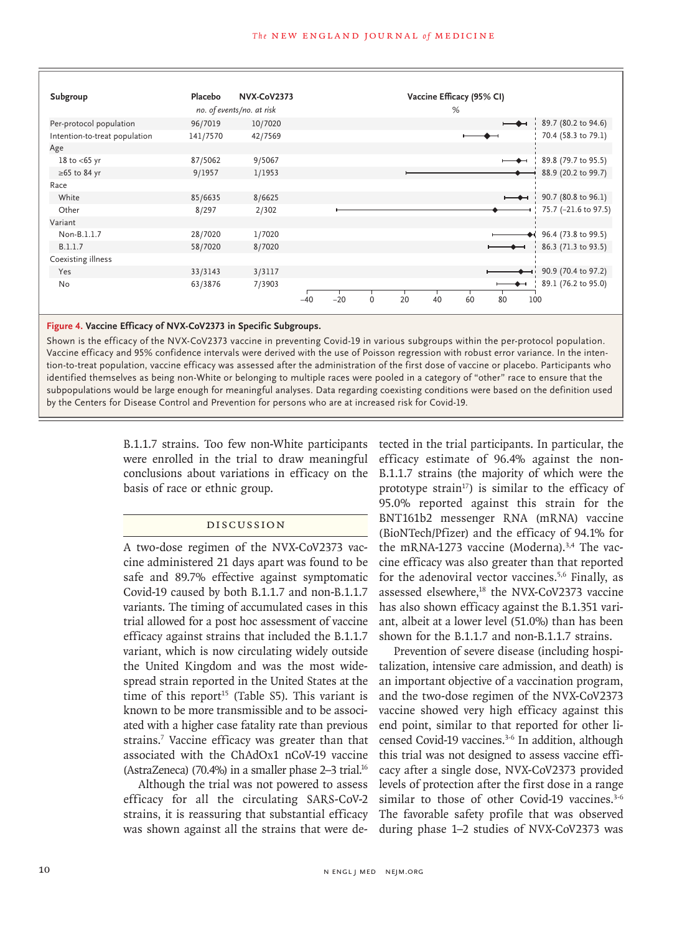

#### **Figure 4. Vaccine Efficacy of NVX-CoV2373 in Specific Subgroups.**

Shown is the efficacy of the NVX-CoV2373 vaccine in preventing Covid-19 in various subgroups within the per-protocol population. Vaccine efficacy and 95% confidence intervals were derived with the use of Poisson regression with robust error variance. In the intention-to-treat population, vaccine efficacy was assessed after the administration of the first dose of vaccine or placebo. Participants who identified themselves as being non-White or belonging to multiple races were pooled in a category of "other" race to ensure that the subpopulations would be large enough for meaningful analyses. Data regarding coexisting conditions were based on the definition used by the Centers for Disease Control and Prevention for persons who are at increased risk for Covid-19.

> B.1.1.7 strains. Too few non-White participants were enrolled in the trial to draw meaningful conclusions about variations in efficacy on the basis of race or ethnic group.

# Discussion

A two-dose regimen of the NVX-CoV2373 vaccine administered 21 days apart was found to be safe and 89.7% effective against symptomatic Covid-19 caused by both B.1.1.7 and non-B.1.1.7 variants. The timing of accumulated cases in this trial allowed for a post hoc assessment of vaccine efficacy against strains that included the B.1.1.7 variant, which is now circulating widely outside the United Kingdom and was the most widespread strain reported in the United States at the time of this report<sup>15</sup> (Table S5). This variant is known to be more transmissible and to be associated with a higher case fatality rate than previous strains.7 Vaccine efficacy was greater than that associated with the ChAdOx1 nCoV-19 vaccine (AstraZeneca) (70.4%) in a smaller phase 2–3 trial.16

Although the trial was not powered to assess efficacy for all the circulating SARS-CoV-2 strains, it is reassuring that substantial efficacy was shown against all the strains that were detected in the trial participants. In particular, the efficacy estimate of 96.4% against the non-B.1.1.7 strains (the majority of which were the prototype strain<sup>17</sup>) is similar to the efficacy of 95.0% reported against this strain for the BNT161b2 messenger RNA (mRNA) vaccine (BioNTech/Pfizer) and the efficacy of 94.1% for the mRNA-1273 vaccine (Moderna).<sup>3,4</sup> The vaccine efficacy was also greater than that reported for the adenoviral vector vaccines.5,6 Finally, as assessed elsewhere,<sup>18</sup> the NVX-CoV2373 vaccine has also shown efficacy against the B.1.351 variant, albeit at a lower level (51.0%) than has been shown for the B.1.1.7 and non-B.1.1.7 strains.

Prevention of severe disease (including hospitalization, intensive care admission, and death) is an important objective of a vaccination program, and the two-dose regimen of the NVX-CoV2373 vaccine showed very high efficacy against this end point, similar to that reported for other licensed Covid-19 vaccines.<sup>3-6</sup> In addition, although this trial was not designed to assess vaccine efficacy after a single dose, NVX-CoV2373 provided levels of protection after the first dose in a range similar to those of other Covid-19 vaccines.<sup>3-6</sup> The favorable safety profile that was observed during phase 1–2 studies of NVX-CoV2373 was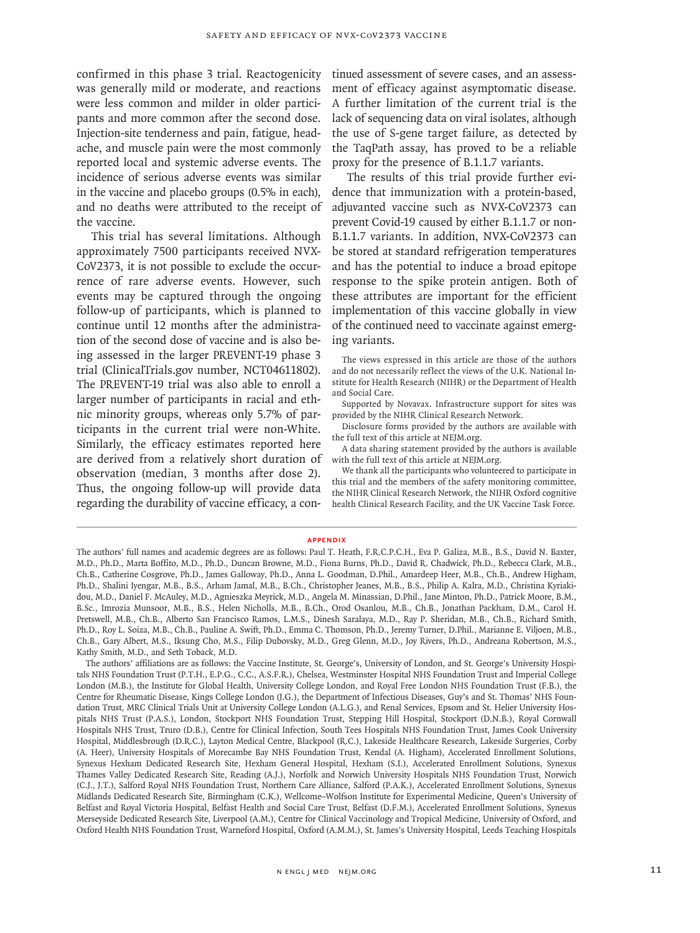confirmed in this phase 3 trial. Reactogenicity was generally mild or moderate, and reactions were less common and milder in older participants and more common after the second dose. Injection-site tenderness and pain, fatigue, headache, and muscle pain were the most commonly reported local and systemic adverse events. The incidence of serious adverse events was similar in the vaccine and placebo groups (0.5% in each), and no deaths were attributed to the receipt of the vaccine.

This trial has several limitations. Although approximately 7500 participants received NVX-CoV2373, it is not possible to exclude the occurrence of rare adverse events. However, such events may be captured through the ongoing follow-up of participants, which is planned to continue until 12 months after the administration of the second dose of vaccine and is also being assessed in the larger PREVENT-19 phase 3 trial (ClinicalTrials.gov number, NCT04611802). The PREVENT-19 trial was also able to enroll a larger number of participants in racial and ethnic minority groups, whereas only 5.7% of participants in the current trial were non-White. Similarly, the efficacy estimates reported here are derived from a relatively short duration of observation (median, 3 months after dose 2). Thus, the ongoing follow-up will provide data regarding the durability of vaccine efficacy, a con-

tinued assessment of severe cases, and an assessment of efficacy against asymptomatic disease. A further limitation of the current trial is the lack of sequencing data on viral isolates, although the use of S-gene target failure, as detected by the TaqPath assay, has proved to be a reliable proxy for the presence of B.1.1.7 variants.

The results of this trial provide further evidence that immunization with a protein-based, adjuvanted vaccine such as NVX-CoV2373 can prevent Covid-19 caused by either B.1.1.7 or non-B.1.1.7 variants. In addition, NVX-CoV2373 can be stored at standard refrigeration temperatures and has the potential to induce a broad epitope response to the spike protein antigen. Both of these attributes are important for the efficient implementation of this vaccine globally in view of the continued need to vaccinate against emerging variants.

The views expressed in this article are those of the authors and do not necessarily reflect the views of the U.K. National Institute for Health Research (NIHR) or the Department of Health and Social Care.

Supported by Novavax. Infrastructure support for sites was provided by the NIHR Clinical Research Network.

Disclosure forms provided by the authors are available with the full text of this article at NEJM.org.

A data sharing statement provided by the authors is available with the full text of this article at NEJM.org.

We thank all the participants who volunteered to participate in this trial and the members of the safety monitoring committee, the NIHR Clinical Research Network, the NIHR Oxford cognitive health Clinical Research Facility, and the UK Vaccine Task Force.

#### **Appendix**

The authors' full names and academic degrees are as follows: Paul T. Heath, F.R.C.P.C.H., Eva P. Galiza, M.B., B.S., David N. Baxter, M.D., Ph.D., Marta Boffito, M.D., Ph.D., Duncan Browne, M.D., Fiona Burns, Ph.D., David R. Chadwick, Ph.D., Rebecca Clark, M.B., Ch.B., Catherine Cosgrove, Ph.D., James Galloway, Ph.D., Anna L. Goodman, D.Phil., Amardeep Heer, M.B., Ch.B., Andrew Higham, Ph.D., Shalini Iyengar, M.B., B.S., Arham Jamal, M.B., B.Ch., Christopher Jeanes, M.B., B.S., Philip A. Kalra, M.D., Christina Kyriakidou, M.D., Daniel F. McAuley, M.D., Agnieszka Meyrick, M.D., Angela M. Minassian, D.Phil., Jane Minton, Ph.D., Patrick Moore, B.M., B.Sc., Imrozia Munsoor, M.B., B.S., Helen Nicholls, M.B., B.Ch., Orod Osanlou, M.B., Ch.B., Jonathan Packham, D.M., Carol H. Pretswell, M.B., Ch.B., Alberto San Francisco Ramos, L.M.S., Dinesh Saralaya, M.D., Ray P. Sheridan, M.B., Ch.B., Richard Smith, Ph.D., Roy L. Soiza, M.B., Ch.B., Pauline A. Swift, Ph.D., Emma C. Thomson, Ph.D., Jeremy Turner, D.Phil., Marianne E. Viljoen, M.B., Ch.B., Gary Albert, M.S., Iksung Cho, M.S., Filip Dubovsky, M.D., Greg Glenn, M.D., Joy Rivers, Ph.D., Andreana Robertson, M.S., Kathy Smith, M.D., and Seth Toback, M.D.

The authors' affiliations are as follows: the Vaccine Institute, St. George's, University of London, and St. George's University Hospitals NHS Foundation Trust (P.T.H., E.P.G., C.C., A.S.F.R.), Chelsea, Westminster Hospital NHS Foundation Trust and Imperial College London (M.B.), the Institute for Global Health, University College London, and Royal Free London NHS Foundation Trust (F.B.), the Centre for Rheumatic Disease, Kings College London (J.G.), the Department of Infectious Diseases, Guy's and St. Thomas' NHS Foundation Trust, MRC Clinical Trials Unit at University College London (A.L.G.), and Renal Services, Epsom and St. Helier University Hospitals NHS Trust (P.A.S.), London, Stockport NHS Foundation Trust, Stepping Hill Hospital, Stockport (D.N.B.), Royal Cornwall Hospitals NHS Trust, Truro (D.B.), Centre for Clinical Infection, South Tees Hospitals NHS Foundation Trust, James Cook University Hospital, Middlesbrough (D.R.C.), Layton Medical Centre, Blackpool (R.C.), Lakeside Healthcare Research, Lakeside Surgeries, Corby (A. Heer), University Hospitals of Morecambe Bay NHS Foundation Trust, Kendal (A. Higham), Accelerated Enrollment Solutions, Synexus Hexham Dedicated Research Site, Hexham General Hospital, Hexham (S.I.), Accelerated Enrollment Solutions, Synexus Thames Valley Dedicated Research Site, Reading (A.J.), Norfolk and Norwich University Hospitals NHS Foundation Trust, Norwich (C.J., J.T.), Salford Royal NHS Foundation Trust, Northern Care Alliance, Salford (P.A.K.), Accelerated Enrollment Solutions, Synexus Midlands Dedicated Research Site, Birmingham (C.K.), Wellcome–Wolfson Institute for Experimental Medicine, Queen's University of Belfast and Royal Victoria Hospital, Belfast Health and Social Care Trust, Belfast (D.F.M.), Accelerated Enrollment Solutions, Synexus Merseyside Dedicated Research Site, Liverpool (A.M.), Centre for Clinical Vaccinology and Tropical Medicine, University of Oxford, and Oxford Health NHS Foundation Trust, Warneford Hospital, Oxford (A.M.M.), St. James's University Hospital, Leeds Teaching Hospitals